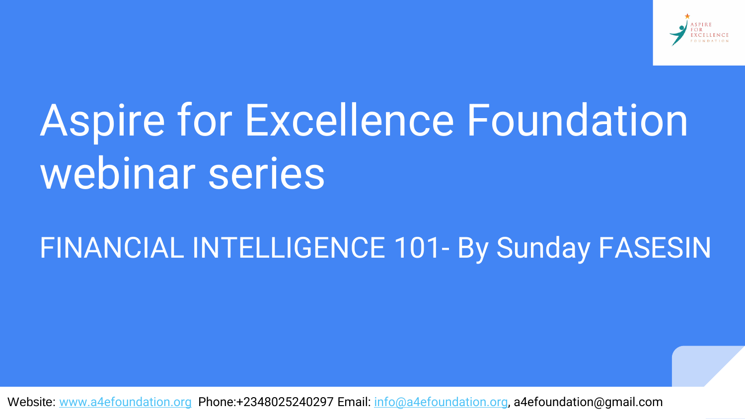

# Aspire for Excellence Foundation webinar series

#### FINANCIAL INTELLIGENCE 101- By Sunday FASESIN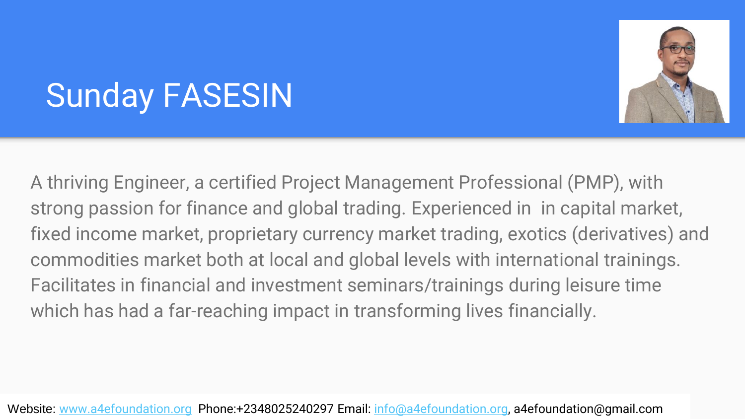

# Sunday FASESIN

A thriving Engineer, a certified Project Management Professional (PMP), with strong passion for finance and global trading. Experienced in in capital market, fixed income market, proprietary currency market trading, exotics (derivatives) and commodities market both at local and global levels with international trainings. Facilitates in financial and investment seminars/trainings during leisure time which has had a far-reaching impact in transforming lives financially.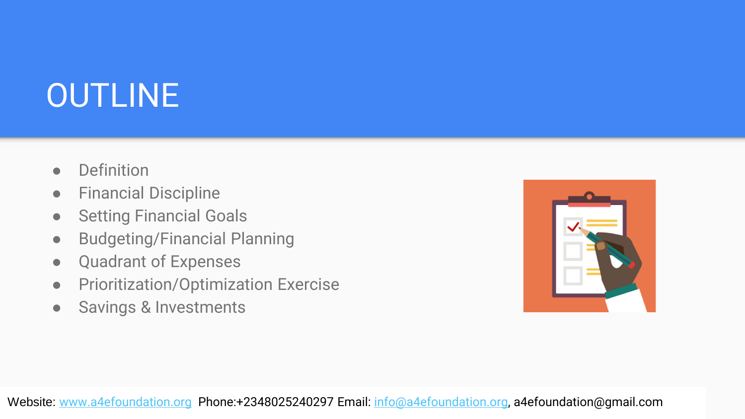# OUTLINE

- Definition
- Financial Discipline
- **•** Setting Financial Goals
- Budgeting/Financial Planning
- Quadrant of Expenses
- Prioritization/Optimization Exercise
- Savings & Investments

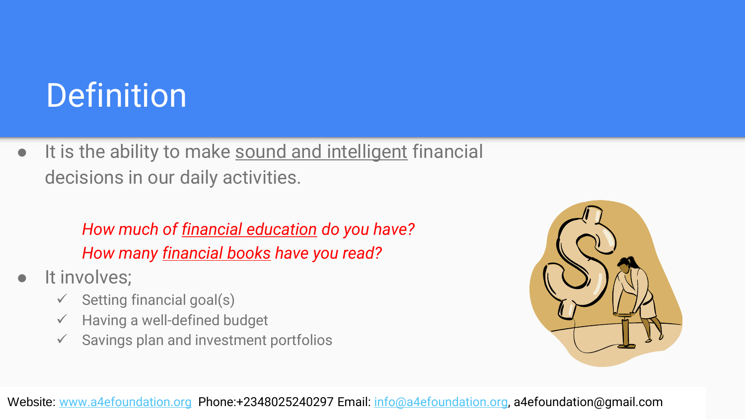# **Definition**

● It is the ability to make sound and intelligent financial decisions in our daily activities.

#### *How much of financial education do you have? How many financial books have you read?*

- It involves;
	- $\checkmark$  Setting financial goal(s)
	- $\checkmark$  Having a well-defined budget
	- $\checkmark$  Savings plan and investment portfolios

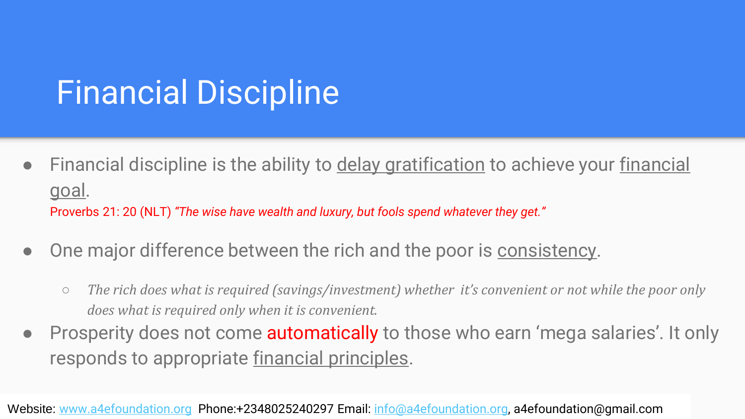### Financial Discipline

- Financial discipline is the ability to delay gratification to achieve your financial goal. Proverbs 21: 20 (NLT) *"The wise have wealth and luxury, but fools spend whatever they get."*
- One major difference between the rich and the poor is consistency.
	- *The rich does what is required (savings/investment) whether it's convenient or not while the poor only does what is required only when it is convenient.*
- Prosperity does not come **automatically** to those who earn 'mega salaries'. It only responds to appropriate financial principles.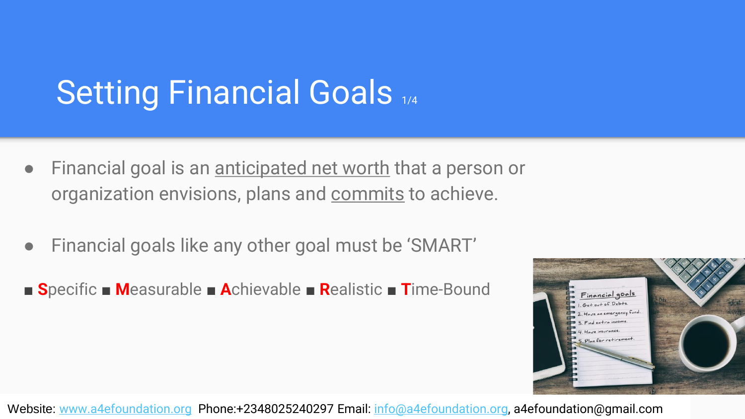### Setting Financial Goals 1/4

- Financial goal is an anticipated net worth that a person or organization envisions, plans and commits to achieve.
- Financial goals like any other goal must be 'SMART'
- **■ S**pecific **■ M**easurable **■ A**chievable **■ R**ealistic **■ T**ime-Bound

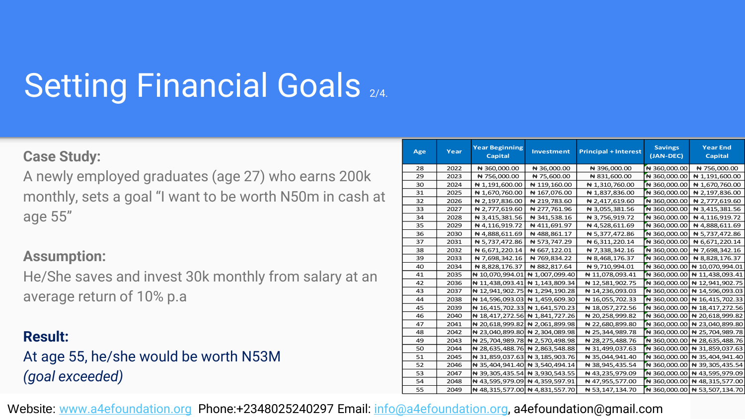# **Setting Financial Goals 2/4.**

#### **Case Study:**

A newly employed graduates (age 27) who earns 200k monthly, sets a goal "I want to be worth N50m in cash at age 55"

#### **Assumption:**

He/She saves and invest 30k monthly from salary at an average return of 10% p.a

#### **Result:**

#### At age 55, he/she would be worth N53M *(goal exceeded)*

| Age | Year | <b>Year Beginning</b><br><b>Capital</b> | <b>Investment</b> | <b>Principal + Interest</b> | <b>Savings</b><br>(JAN-DEC) | <b>Year End</b><br>Capital     |
|-----|------|-----------------------------------------|-------------------|-----------------------------|-----------------------------|--------------------------------|
| 28  | 2022 | ₦ 360,000.00                            | ₦ 36,000.00       | ₦ 396,000.00                | ₦ 360,000.00                | ₦ 756,000.00                   |
| 29  | 2023 | ₦ 756,000.00                            | ₦ 75,600.00       | ₦ 831,600.00                | ₦ 360,000.00                | ₦ 1,191,600.00                 |
| 30  | 2024 | ₦ 1,191,600.00                          | ₦ 119,160.00      | ₦ 1,310,760.00              | ₦ 360,000.00                | ₦ 1,670,760.00                 |
| 31  | 2025 | ₦ 1,670,760.00                          | ₦ 167,076.00      | ₦ 1,837,836.00              | ₦ 360,000.00                | ₦ 2,197,836.00                 |
| 32  | 2026 | ₦ 2,197,836.00                          | ₦ 219,783.60      | ₦ 2,417,619.60              | ₦ 360,000.00                | ₦ 2,777,619.60                 |
| 33  | 2027 | ₦ 2,777,619.60                          | ₦ 277,761.96      | ₦ 3,055,381.56              | ₦ 360,000.00                | ₦ 3,415,381.56                 |
| 34  | 2028 | ₦ 3,415,381.56                          | ₦ 341,538.16      | ₦ 3,756,919.72              | ₦ 360,000.00                | ₦ 4,116,919.72                 |
| 35  | 2029 | ₦ 4,116,919.72                          | ₦ 411,691.97      | ₦ 4,528,611.69              | ₦ 360,000.00                | ₦ 4,888,611.69                 |
| 36  | 2030 | ₦ 4,888,611.69                          | ₦ 488,861.17      | ₦ 5,377,472.86              | ₦ 360,000.00                | ₦ 5,737,472.86                 |
| 37  | 2031 | ₦ 5,737,472.86                          | ₦ 573,747.29      | ₦ 6,311,220.14              | ₦ 360,000.00                | ₦ 6,671,220.14                 |
| 38  | 2032 | ₦ 6,671,220.14                          | ₦ 667,122.01      | ₦ 7,338,342.16              | ₦ 360,000.00                | ₦ 7,698,342.16                 |
| 39  | 2033 | ₦ 7,698,342.16                          | ₦ 769,834.22      | ₦ 8,468,176.37              | ₦ 360,000.00                | ₦ 8,828,176.37                 |
| 40  | 2034 | ₦ 8,828,176.37                          | ₦ 882,817.64      | ₦ 9,710,994.01              |                             | ₦ 360,000.00   ₦ 10,070,994.01 |
| 41  | 2035 | ₦ 10,070,994.01 ₦ 1,007,099.40          |                   | ₦ 11,078,093.41             |                             | ₦ 360,000.00   ₦ 11,438,093.41 |
| 42  | 2036 | ₦ 11,438,093.41 ₦ 1,143,809.34          |                   | ₦ 12,581,902.75             |                             | ₦ 360,000.00   ₦ 12,941,902.75 |
| 43  | 2037 | ₦ 12,941,902.75 ₦ 1,294,190.28          |                   | ₦ 14,236,093.03             |                             | ₦ 360,000.00   ₦ 14,596,093.03 |
| 44  | 2038 | ₦ 14,596,093.03 ₦ 1,459,609.30          |                   | ₦ 16,055,702.33             |                             | ₦ 360,000.00   ₦ 16,415,702.33 |
| 45  | 2039 | ₦ 16,415,702.33 ₦ 1,641,570.23          |                   | ₦ 18,057,272.56             |                             | ₦ 360,000.00   ₦ 18,417,272.56 |
| 46  | 2040 | ₦ 18,417,272.56 ₦ 1,841,727.26          |                   | ₦ 20,258,999.82             |                             | ₦ 360,000.00   ₦ 20,618,999.82 |
| 47  | 2041 | ₦ 20,618,999.82 ₦ 2,061,899.98          |                   | ₦ 22,680,899.80             |                             | ₦ 360,000.00   ₦ 23,040,899.80 |
| 48  | 2042 | ₦ 23,040,899.80 ₦ 2,304,089.98          |                   | ₦ 25,344,989.78             |                             | ₦ 360,000.00   ₦ 25,704,989.78 |
| 49  | 2043 | ₦ 25,704,989.78 ₦ 2,570,498.98          |                   | ₦ 28,275,488.76             |                             | N 360,000.00 N 28,635,488.76   |
| 50  | 2044 | ₦ 28,635,488.76 ₦ 2,863,548.88          |                   | ₦ 31,499,037.63             |                             | ₦ 360,000.00   ₦ 31,859,037.63 |
| 51  | 2045 | ₦ 31,859,037.63 ₦ 3,185,903.76          |                   | ₦ 35,044,941.40             |                             | ₦ 360,000.00   ₦ 35,404,941.40 |
| 52  | 2046 | ₦ 35,404,941.40 ₦ 3,540,494.14          |                   | ₦ 38,945,435.54             |                             | N 360,000.00 N 39,305,435.54   |
| 53  | 2047 | ₦ 39,305,435.54 ₦ 3,930,543.55          |                   | ₦ 43,235,979.09             |                             | ₦ 360,000.00   ₦ 43,595,979.09 |
| 54  | 2048 | ₦ 43,595,979.09 ₦ 4,359,597.91          |                   | ₦ 47,955,577.00             |                             | ₦ 360,000.00   ₦ 48,315,577.00 |
| 55  | 2049 | ₦ 48,315,577.00 ₦ 4,831,557.70          |                   | ₦ 53,147,134.70             |                             | ₦ 360,000.00   ₦ 53,507,134.70 |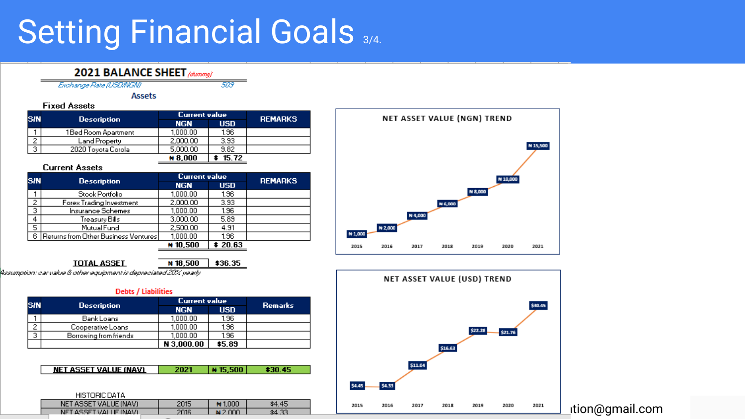### Setting Financial Goals 3/4.

509

#### 2021 BALANCE SHEET (dummy)

Exchange Rate (USDINGN)

**Assets** 

#### **Fixed Assets**

| SIN                           |                      | <b>Current value</b> |            | <b>REMARKS</b> |
|-------------------------------|----------------------|----------------------|------------|----------------|
|                               | <b>Description</b>   | <b>NGN</b>           | <b>USD</b> |                |
|                               | 1 Bed Room Apartment | 1,000.00             | 1.96       |                |
| $\overline{\phantom{a}}$<br>۷ | Land Property        | 2,000.00             | 3.93       |                |
| 3                             | 2020 Toyota Corola   | 5,000.00             | 9.82       |                |
|                               |                      | ₩8 NOO               | 15 72      |                |

#### **Current Assets**

| <b>S/N</b> | <b>Description</b>                   | <b>Current value</b> | <b>REMARKS</b> |  |
|------------|--------------------------------------|----------------------|----------------|--|
|            |                                      | <b>NGN</b>           | <b>USD</b>     |  |
|            | Stock Portfolio                      | 1,000.00             | 1.96           |  |
| 2          | Forex Trading Investment             | 2,000.00             | 3.93           |  |
| 3          | Insurance Schemes                    | 1,000.00             | 1.96           |  |
| 4          | Treasury Bills                       | 3.000.00             | 5.89           |  |
| 5          | Mutual Fund                          | 2,500.00             | 4.91           |  |
| 6          | Returns from Other Business Ventures | 1,000.00             | 1.96           |  |
|            |                                      | ₦ 10.500             | \$20.63        |  |

**TOTAL ASSET** 

₦ 18,500 \$36.35

assumption: par value & other equipment is depreptied 20% yearly

#### **Debts / Liabilities Current value S/N Description Remarks NGN USD** Bank Loans 1,000.00 1.96  $\mathbf{1}$  $\overline{2}$  $1,000.00$ 1.96 Cooperative Loans  $1,000.00$  $1.36$ 3 Borrowing from friends N 3,000.00  $\frac{1}{15.89}$

| NET ASSET VALUE (NAV) | 2021 | #15,500       | \$30.45 |
|-----------------------|------|---------------|---------|
|                       |      |               |         |
| HISTORIC DATA         |      |               |         |
| NET ASSET VALUE (NAV) | 2015 | $\star$ 1.000 | \$4.45  |
|                       |      |               |         |



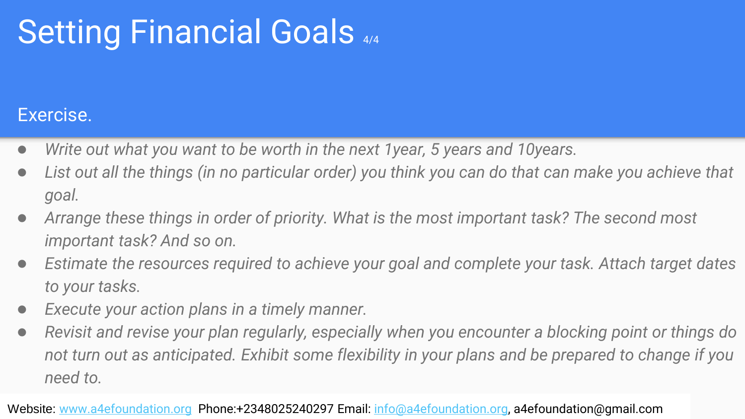### Setting Financial Goals 4/4

#### Exercise.

- *Write out what you want to be worth in the next 1year, 5 years and 10years.*
- *List out all the things (in no particular order) you think you can do that can make you achieve that goal.*
- *Arrange these things in order of priority. What is the most important task? The second most important task? And so on.*
- *Estimate the resources required to achieve your goal and complete your task. Attach target dates to your tasks.*
- *Execute your action plans in a timely manner.*
- *Revisit and revise your plan regularly, especially when you encounter a blocking point or things do not turn out as anticipated. Exhibit some flexibility in your plans and be prepared to change if you need to.*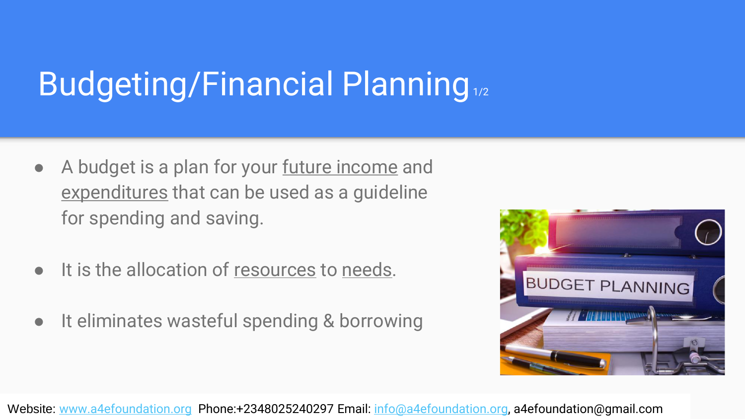# **Budgeting/Financial Planning**<sub>1/2</sub>

- A budget is a plan for your future income and expenditures that can be used as a guideline for spending and saving.
- It is the allocation of resources to needs.
- It eliminates wasteful spending & borrowing

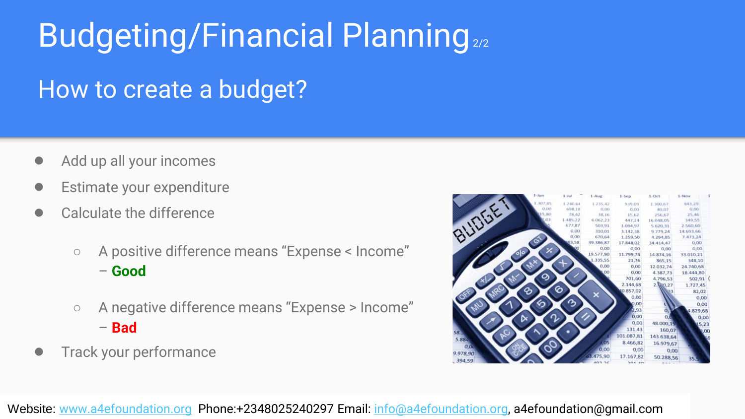### Budgeting/Financial Planning<sub>2/2</sub>

#### How to create a budget?

- Add up all your incomes
- Estimate your expenditure
- Calculate the difference
	- A positive difference means "Expense < Income" – **Good**
	- A negative difference means "Expense > Income" – **Bad**
- Track your performance

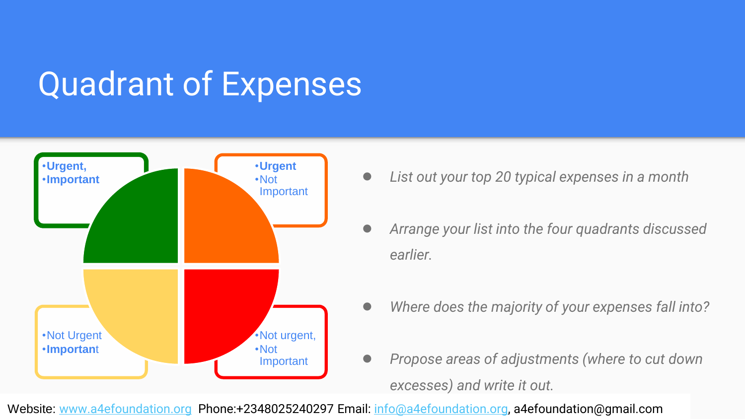### Quadrant of Expenses



- •**Important** *Not Not Not List out your top 20 typical expenses in a month* 
	- *Arrange your list into the four quadrants discussed earlier.*
	- *Where does the majority of your expenses fall into?*
	- *Propose areas of adjustments (where to cut down excesses) and write it out.*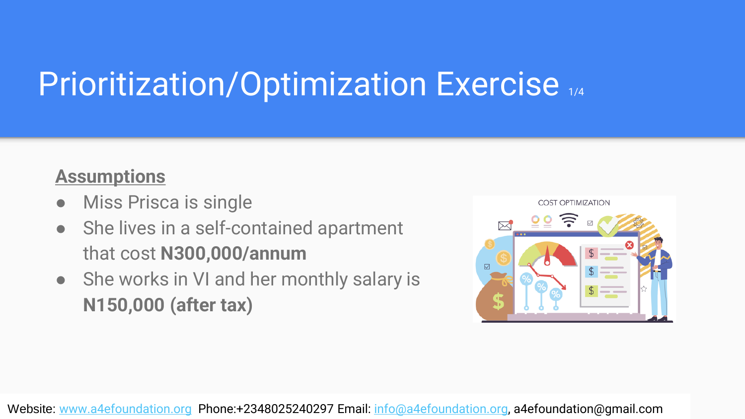# Prioritization/Optimization Exercise 1/4

#### **Assumptions**

- Miss Prisca is single
- She lives in a self-contained apartment that cost **N300,000/annum**
- She works in VI and her monthly salary is **N150,000 (after tax)**

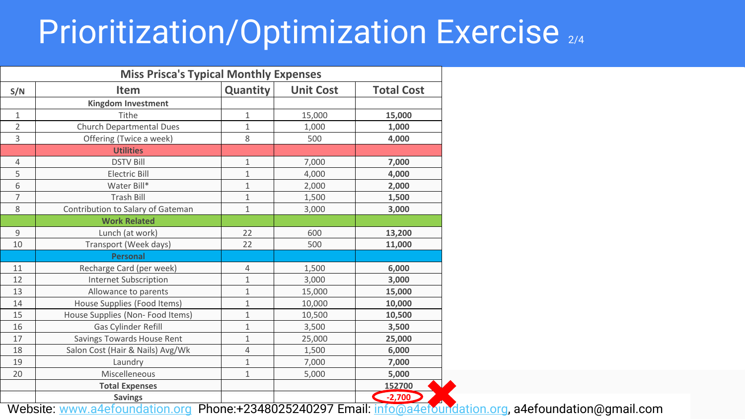### Prioritization/Optimization Exercise 2/4

| <b>Miss Prisca's Typical Monthly Expenses</b> |                                   |              |                  |                                |  |  |  |
|-----------------------------------------------|-----------------------------------|--------------|------------------|--------------------------------|--|--|--|
| S/N                                           | <b>Item</b>                       | Quantity     | <b>Unit Cost</b> | <b>Total Cost</b>              |  |  |  |
|                                               | Kingdom Investment                |              |                  |                                |  |  |  |
| $\mathbf{1}$                                  | Tithe                             | 1            | 15,000           | 15,000                         |  |  |  |
| 2                                             | Church Departmental Dues          | $\mathbf{1}$ | 1,000            | 1,000                          |  |  |  |
| 3                                             | Offering (Twice a week)           | 8            | 500              | 4,000                          |  |  |  |
|                                               | <b>Utilities</b>                  |              |                  |                                |  |  |  |
| 4                                             | <b>DSTV Bill</b>                  | $\mathbf{1}$ | 7,000            | 7,000                          |  |  |  |
| 5                                             | <b>Electric Bill</b>              | $\mathbf{1}$ | 4,000            | 4,000                          |  |  |  |
| 6                                             | Water Bill*                       | $\mathbf{1}$ | 2,000            | 2,000                          |  |  |  |
| 7                                             | <b>Trash Bill</b>                 | $\mathbf{1}$ | 1,500            | 1,500                          |  |  |  |
| 8                                             | Contribution to Salary of Gateman | $\mathbf{1}$ | 3,000            | 3,000                          |  |  |  |
|                                               | <b>Work Related</b>               |              |                  |                                |  |  |  |
| 9                                             | Lunch (at work)                   | 22           | 600              | 13,200                         |  |  |  |
| 10                                            | Transport (Week days)             | 22           | 500              | 11,000                         |  |  |  |
|                                               | <b>Personal</b>                   |              |                  |                                |  |  |  |
| 11                                            | Recharge Card (per week)          | 4            | 1,500            | 6,000                          |  |  |  |
| 12                                            | <b>Internet Subscription</b>      | $\mathbf{1}$ | 3,000            | 3,000                          |  |  |  |
| 13                                            | Allowance to parents              | $\mathbf{1}$ | 15,000           | 15,000                         |  |  |  |
| 14                                            | House Supplies (Food Items)       | $\mathbf{1}$ | 10,000           | 10,000                         |  |  |  |
| 15                                            | House Supplies (Non- Food Items)  | $\mathbf{1}$ | 10,500           | 10,500                         |  |  |  |
| 16                                            | Gas Cylinder Refill               | 1            | 3,500            | 3,500                          |  |  |  |
| 17                                            | Savings Towards House Rent        | $\mathbf{1}$ | 25,000           | 25,000                         |  |  |  |
| 18                                            | Salon Cost (Hair & Nails) Avg/Wk  | 4            | 1,500            | 6,000                          |  |  |  |
| 19                                            | Laundry                           | $1\,$        | 7,000            | 7,000                          |  |  |  |
| 20                                            | Miscelleneous                     | $\mathbf{1}$ | 5,000            | 5,000                          |  |  |  |
|                                               | <b>Total Expenses</b>             |              |                  | 152700                         |  |  |  |
| .                                             | <b>Savings</b><br>ᢛ               |              | 001000001000     | $-2,700$<br>$\overline{\cdot}$ |  |  |  |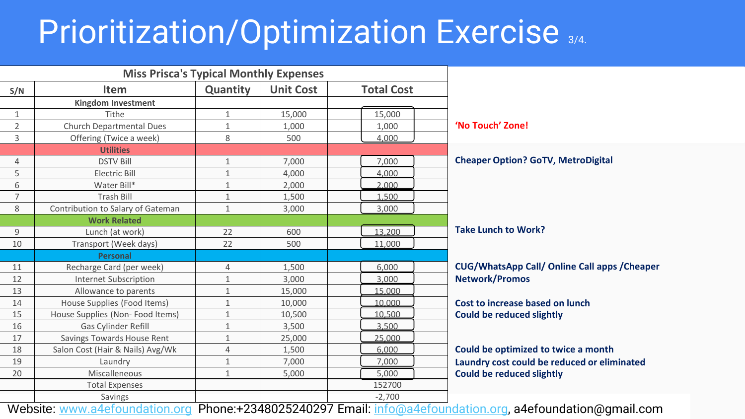### Prioritization/Optimization Exercise 3/4.

| <b>Item</b>                       |              |                  |                   |                          |
|-----------------------------------|--------------|------------------|-------------------|--------------------------|
|                                   | Quantity     | <b>Unit Cost</b> | <b>Total Cost</b> |                          |
| Kingdom Investment                |              |                  |                   |                          |
| Tithe                             | 1            | 15,000           | 15,000            |                          |
| Church Departmental Dues          | $\mathbf 1$  | 1,000            | 1,000             | 'No Touch' Zone!         |
| Offering (Twice a week)           | 8            | 500              | 4,000             |                          |
| <b>Utilities</b>                  |              |                  |                   |                          |
| <b>DSTV Bill</b>                  | $\mathbf 1$  | 7,000            | 7,000             | <b>Cheaper Option?</b>   |
| <b>Electric Bill</b>              | $\mathbf{1}$ | 4,000            | 4,000             |                          |
| Water Bill*                       | $\mathbf 1$  | 2,000            | 2.000             |                          |
| <b>Trash Bill</b>                 | 1            | 1,500            | 1.500             |                          |
| Contribution to Salary of Gateman | $\mathbf{1}$ | 3,000            | 3,000             |                          |
| <b>Work Related</b>               |              |                  |                   |                          |
| Lunch (at work)                   | 22           | 600              | 13,200            | <b>Take Lunch to Wo</b>  |
| Transport (Week days)             | 22           | 500              | 11,000            |                          |
| <b>Personal</b>                   |              |                  |                   |                          |
| Recharge Card (per week)          | 4            | 1,500            | 6.000             | <b>CUG/WhatsApp 0</b>    |
| <b>Internet Subscription</b>      | 1            | 3,000            | 3.000             | <b>Network/Promos</b>    |
| Allowance to parents              | $\mathbf 1$  | 15,000           | 15.000            |                          |
| House Supplies (Food Items)       | $\mathbf{1}$ | 10,000           | 10.000            | Cost to increase b       |
| House Supplies (Non-Food Items)   | $\mathbf 1$  | 10,500           | 10.500            | <b>Could be reduced</b>  |
| <b>Gas Cylinder Refill</b>        | 1            | 3,500            | 3.500             |                          |
| Savings Towards House Rent        | $\mathbf 1$  | 25,000           | 25.000            |                          |
| Salon Cost (Hair & Nails) Avg/Wk  | 4            | 1,500            | 6.000             | Could be optimize        |
| Laundry                           | $\mathbf{1}$ | 7,000            | 7,000             | <b>Laundry cost coul</b> |
| Miscalleneous                     | $\mathbf{1}$ | 5,000            | 5,000             | <b>Could be reduced</b>  |
| <b>Total Expenses</b>             |              |                  | 152700            |                          |
| Savings                           |              |                  | $-2,700$          |                          |
|                                   |              |                  |                   |                          |

**Cheaper Option? GoTV, MetroDigital**

**Work?** 

**CUG/WhatsApp Call/ Online Call apps /Cheaper Network/Promos**

**Cost is also based on lunch Could slightly** 

**Could be optimized to twice a month Laundry cost could be reduced or eliminated Could slightly**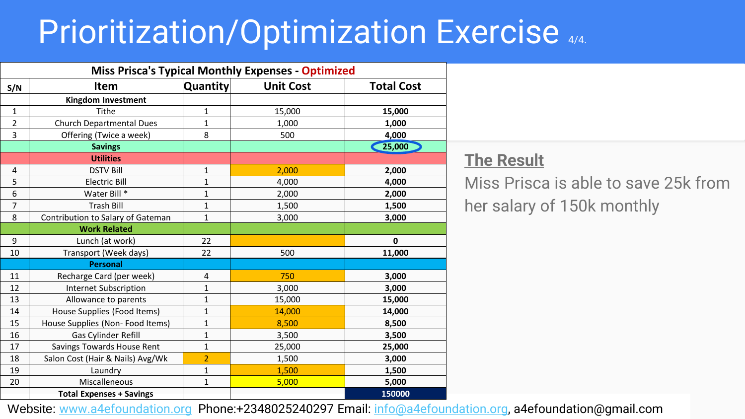### Prioritization/Optimization Exercise 4/4.

| <b>Miss Prisca's Typical Monthly Expenses - Optimized</b> |                                   |                |                  |                   |  |  |  |
|-----------------------------------------------------------|-----------------------------------|----------------|------------------|-------------------|--|--|--|
| S/N                                                       | <b>Item</b>                       | Quantity       | <b>Unit Cost</b> | <b>Total Cost</b> |  |  |  |
|                                                           | <b>Kingdom Investment</b>         |                |                  |                   |  |  |  |
| 1                                                         | Tithe                             | 1              | 15,000           | 15,000            |  |  |  |
| $\overline{2}$                                            | <b>Church Departmental Dues</b>   | 1              | 1,000            | 1,000             |  |  |  |
| 3                                                         | Offering (Twice a week)           | 8              | 500              | 4,000             |  |  |  |
|                                                           | <b>Savings</b>                    |                |                  | 25,000            |  |  |  |
|                                                           | <b>Utilities</b>                  |                |                  |                   |  |  |  |
| 4                                                         | <b>DSTV Bill</b>                  | $\mathbf{1}$   | 2,000            | 2,000             |  |  |  |
| 5                                                         | Electric Bill                     | $\mathbf{1}$   | 4,000            | 4,000             |  |  |  |
| 6                                                         | Water Bill *                      | 1              | 2,000            | 2,000             |  |  |  |
| 7                                                         | <b>Trash Bill</b>                 | $\mathbf{1}$   | 1,500            | 1,500             |  |  |  |
| 8                                                         | Contribution to Salary of Gateman | $\mathbf{1}$   | 3,000            | 3,000             |  |  |  |
|                                                           | <b>Work Related</b>               |                |                  |                   |  |  |  |
| 9                                                         | Lunch (at work)                   | 22             |                  | $\mathbf{0}$      |  |  |  |
| 10                                                        | Transport (Week days)             | 22             | 500              | 11,000            |  |  |  |
|                                                           | <b>Personal</b>                   |                |                  |                   |  |  |  |
| 11                                                        | Recharge Card (per week)          | 4              | 750              | 3,000             |  |  |  |
| 12                                                        | <b>Internet Subscription</b>      | 1              | 3,000            | 3,000             |  |  |  |
| 13                                                        | Allowance to parents              | $\mathbf{1}$   | 15,000           | 15,000            |  |  |  |
| 14                                                        | House Supplies (Food Items)       | 1              | 14,000           | 14,000            |  |  |  |
| 15                                                        | House Supplies (Non-Food Items)   | 1              | 8,500            | 8,500             |  |  |  |
| 16                                                        | Gas Cylinder Refill               | 1              | 3,500            | 3,500             |  |  |  |
| 17                                                        | Savings Towards House Rent        | $\mathbf{1}$   | 25,000           | 25,000            |  |  |  |
| 18                                                        | Salon Cost (Hair & Nails) Avg/Wk  | $\overline{2}$ | 1,500            | 3,000             |  |  |  |
| 19                                                        | Laundry                           | $\mathbf{1}$   | 1,500            | 1,500             |  |  |  |
| 20                                                        | Miscalleneous                     | $\mathbf{1}$   | 5,000            | 5,000             |  |  |  |
|                                                           | <b>Total Expenses + Savings</b>   |                |                  | 150000            |  |  |  |

#### **The Result**

Miss Prisca is able to save 25k from her salary of 150k monthly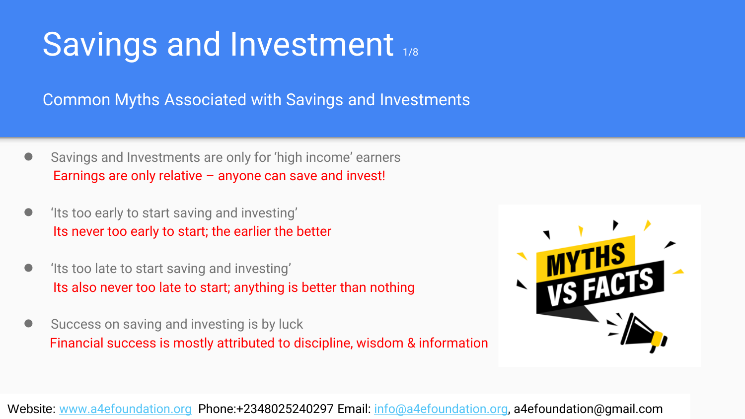### Savings and Investment 1/8

Common Myths Associated with Savings and Investments

- Savings and Investments are only for 'high income' earners Earnings are only relative – anyone can save and invest!
- 'Its too early to start saving and investing' Its never too early to start; the earlier the better
- fits too late to start saving and investing' Its also never too late to start; anything is better than nothing
- Success on saving and investing is by luck Financial success is mostly attributed to discipline, wisdom & information

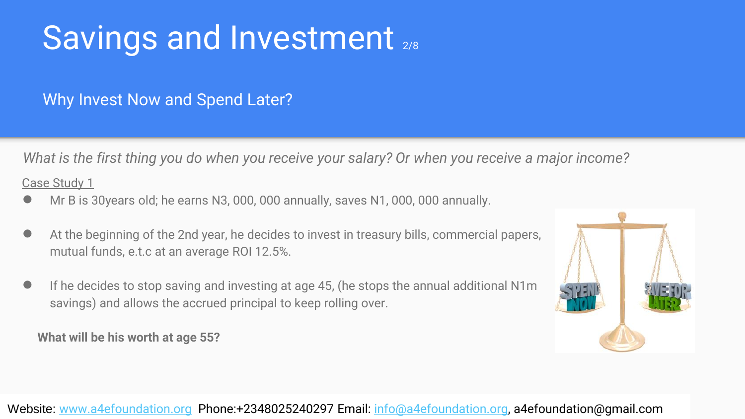# Savings and Investment 2/8

#### Why Invest Now and Spend Later?

*What is the first thing you do when you receive your salary? Or when you receive a major income?* 

Case Study 1

- Mr B is 30years old; he earns N3, 000, 000 annually, saves N1, 000, 000 annually.
- At the beginning of the 2nd year, he decides to invest in treasury bills, commercial papers, mutual funds, e.t.c at an average ROI 12.5%.
- If he decides to stop saving and investing at age 45, (he stops the annual additional N1m savings) and allows the accrued principal to keep rolling over.

**What will be his worth at age 55?**

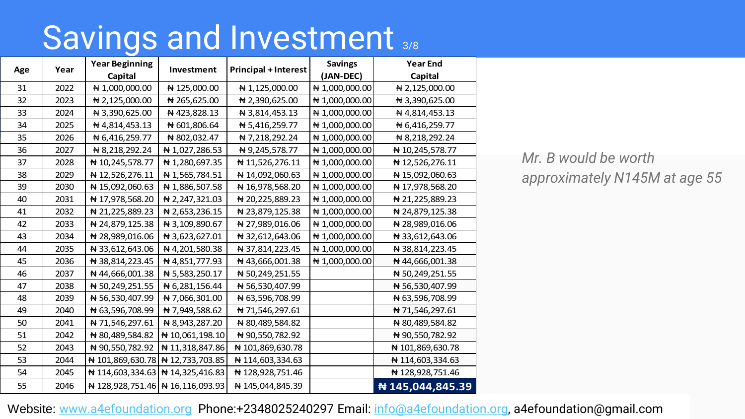### Savings and Investment 3/8

|     | Year | <b>Year Beginning</b>                  |                 | <b>Savings</b>              | <b>Year End</b>   |                  |
|-----|------|----------------------------------------|-----------------|-----------------------------|-------------------|------------------|
| Age |      | Capital                                | Investment      | <b>Principal + Interest</b> | (JAN-DEC)         | Capital          |
| 31  | 2022 | ₦ 1,000,000.00                         | ₦ 125,000.00    | ₦ 1,125,000.00              | ₦ 1,000,000.00    | ₦ 2,125,000.00   |
| 32  | 2023 | ₦ 2,125,000.00                         | ₦ 265,625.00    | ₦ 2,390,625.00              | ₦ 1,000,000.00    | ₦ 3,390,625.00   |
| 33  | 2024 | ₦ 3,390,625.00                         | ₦ 423,828.13    | ₦ 3,814,453.13              | $\#$ 1,000,000.00 | ₦ 4,814,453.13   |
| 34  | 2025 | ₦ 4,814,453.13                         | N 601,806.64    | ₦ 5,416,259.77              | ₦ 1,000,000.00    | ₦ 6,416,259.77   |
| 35  | 2026 | ₦ 6,416,259.77                         | ₦ 802,032.47    | ₦ 7,218,292.24              | ₦ 1,000,000.00    | ₦ 8,218,292.24   |
| 36  | 2027 | ₦ 8,218,292.24                         | ₦ 1,027,286.53  | ₦ 9,245,578.77              | ₦ 1,000,000.00    | ₦ 10,245,578.77  |
| 37  | 2028 | ₦ 10,245,578.77                        | ₦ 1,280,697.35  | ₦ 11,526,276.11             | ₦ 1,000,000.00    | ₦ 12,526,276.11  |
| 38  | 2029 | ₦ 12,526,276.11                        | ₦ 1,565,784.51  | ₦ 14,092,060.63             | ₦ 1,000,000.00    | ₦ 15,092,060.63  |
| 39  | 2030 | ₦ 15,092,060.63                        | ₦ 1,886,507.58  | ₦ 16,978,568.20             | $\#$ 1,000,000.00 | ₦ 17,978,568.20  |
| 40  | 2031 | ₦ 17,978,568.20                        | ₦ 2,247,321.03  | ₦ 20,225,889.23             | ₦ 1,000,000.00    | ₦ 21,225,889.23  |
| 41  | 2032 | ₦ 21,225,889.23                        | ₦ 2,653,236.15  | ₦ 23,879,125.38             | ₦ 1,000,000.00    | ₦ 24,879,125.38  |
| 42  | 2033 | ₦ 24,879,125.38                        | ₦ 3,109,890.67  | ₦ 27,989,016.06             | ₦ 1,000,000.00    | ₦ 28,989,016.06  |
| 43  | 2034 | ₦ 28,989,016.06                        | ₦ 3,623,627.01  | ₦ 32,612,643.06             | ₦ 1,000,000.00    | ₦ 33,612,643.06  |
| 44  | 2035 | ₦ 33,612,643.06                        | ₦ 4,201,580.38  | ₦ 37,814,223.45             | ₦ 1,000,000.00    | ₦ 38,814,223.45  |
| 45  | 2036 | ₦ 38,814,223.45                        | ₦ 4,851,777.93  | ₦ 43,666,001.38             | ₦ 1,000,000.00    | ₦ 44,666,001.38  |
| 46  | 2037 | ₦ 44,666,001.38                        | ₦ 5,583,250.17  | ₦ 50,249,251.55             |                   | ₦ 50,249,251.55  |
| 47  | 2038 | ₦ 50,249,251.55                        | ₦ 6,281,156.44  | ₦ 56,530,407.99             |                   | ₦ 56,530,407.99  |
| 48  | 2039 | ₦ 56,530,407.99                        | ₦ 7,066,301.00  | ₦ 63,596,708.99             |                   | ₦ 63,596,708.99  |
| 49  | 2040 | ₦ 63,596,708.99                        | ₦ 7,949,588.62  | ₦ 71,546,297.61             |                   | ₦ 71,546,297.61  |
| 50  | 2041 | ₦ 71,546,297.61                        | ₦ 8,943,287.20  | ₦ 80,489,584.82             |                   | ₦ 80,489,584.82  |
| 51  | 2042 | ₦ 80,489,584.82                        | ₦ 10,061,198.10 | ₦ 90,550,782.92             |                   | ₦ 90,550,782.92  |
| 52  | 2043 | ₦ 90,550,782.92                        | ₦ 11,318,847.86 | ₦ 101,869,630.78            |                   | ₦ 101,869,630.78 |
| 53  | 2044 | $\# 101,869,630.78 \# 12,733,703.85$   |                 | ₦ 114,603,334.63            |                   | ₦ 114,603,334.63 |
| 54  | 2045 | $\#$ 114,603,334.63 $\#$ 14,325,416.83 |                 | ₦ 128,928,751.46            |                   | ₦ 128,928,751.46 |
| 55  | 2046 | $\#$ 128,928,751.46 $\#$ 16,116,093.93 |                 | ₦ 145,044,845.39            |                   | ₦ 145,044,845.39 |

*Mr. B would be worth approximately N145M at age 55*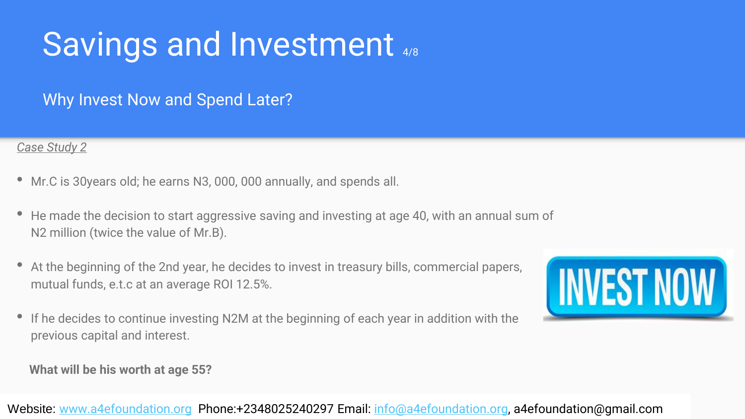### Savings and Investment 4/8

Why Invest Now and Spend Later?

#### *Case Study 2*

- Mr.C is 30years old; he earns N3, 000, 000 annually, and spends all.
- He made the decision to start aggressive saving and investing at age 40, with an annual sum of N2 million (twice the value of Mr.B).
- At the beginning of the 2nd year, he decides to invest in treasury bills, commercial papers, mutual funds, e.t.c at an average ROI 12.5%.
- If he decides to continue investing N2M at the beginning of each year in addition with the previous capital and interest.



**What will be his worth at age 55?**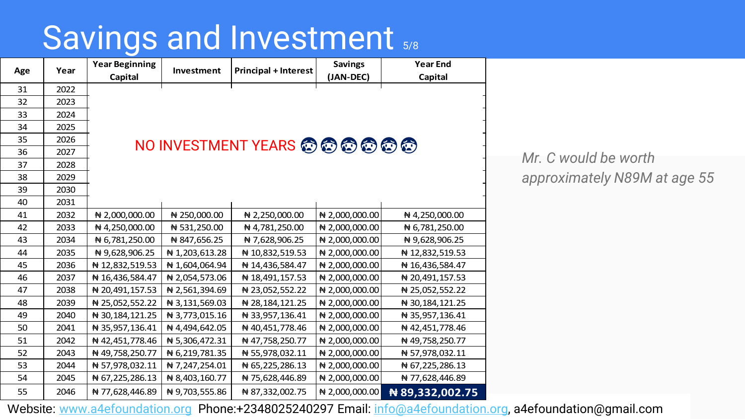### Savings and Investment  $5/8$

| Age | Year | <b>Year Beginning</b><br>Capital | Investment                           | <b>Principal + Interest</b> | <b>Savings</b><br>(JAN-DEC) | <b>Year End</b><br>Capital |  |  |  |  |
|-----|------|----------------------------------|--------------------------------------|-----------------------------|-----------------------------|----------------------------|--|--|--|--|
| 31  | 2022 |                                  |                                      |                             |                             |                            |  |  |  |  |
| 32  | 2023 |                                  |                                      |                             |                             |                            |  |  |  |  |
| 33  | 2024 |                                  |                                      |                             |                             |                            |  |  |  |  |
| 34  | 2025 |                                  |                                      |                             |                             |                            |  |  |  |  |
| 35  | 2026 |                                  |                                      |                             |                             |                            |  |  |  |  |
| 36  | 2027 |                                  | <b>NO INVESTMENT YEARS @ @ @ @ @</b> |                             |                             |                            |  |  |  |  |
| 37  | 2028 |                                  |                                      |                             |                             |                            |  |  |  |  |
| 38  | 2029 |                                  |                                      |                             |                             |                            |  |  |  |  |
| 39  | 2030 |                                  |                                      |                             |                             |                            |  |  |  |  |
| 40  | 2031 |                                  |                                      |                             |                             |                            |  |  |  |  |
| 41  | 2032 | $\bigstar$ 2,000,000.00          | $\#$ 250,000.00                      | $\# 2,250,000.00$           | ₦ 2,000,000.00              | ₦ 4,250,000.00             |  |  |  |  |
| 42  | 2033 | ₦ 4,250,000.00                   | ₦ 531,250.00                         | ₦ 4,781,250.00              | ₦ 2,000,000.00              | ₦ 6,781,250.00             |  |  |  |  |
| 43  | 2034 | ₦ 6,781,250.00                   | ₦ 847,656.25                         | ₦ 7,628,906.25              | ₦ 2,000,000.00              | ₦ 9,628,906.25             |  |  |  |  |
| 44  | 2035 | ₦ 9,628,906.25                   | ₦ 1,203,613.28                       | ₦ 10,832,519.53             | $\bigstar$ 2,000,000.00     | ₦ 12,832,519.53            |  |  |  |  |
| 45  | 2036 | ₦ 12,832,519.53                  | ₦ 1,604,064.94                       | ₦ 14,436,584.47             | ₦ 2,000,000.00              | ₦ 16,436,584.47            |  |  |  |  |
| 46  | 2037 | ₦ 16,436,584.47                  | ₦ 2,054,573.06                       | ₦ 18,491,157.53             | ₦ 2,000,000.00              | ₦ 20,491,157.53            |  |  |  |  |
| 47  | 2038 | ₦ 20,491,157.53                  | ₦ 2,561,394.69                       | $\bigstar$ 23,052,552.22    | ₦ 2,000,000.00              | ₦ 25,052,552.22            |  |  |  |  |
| 48  | 2039 | ₦ 25,052,552.22                  | ₦ 3,131,569.03                       | ₦ 28,184,121.25             | ₦ 2,000,000.00              | ₦ 30,184,121.25            |  |  |  |  |
| 49  | 2040 | ₦ 30,184,121.25                  | ₦ 3,773,015.16                       | ₦ 33,957,136.41             | ₦ 2,000,000.00              | ₦ 35,957,136.41            |  |  |  |  |
| 50  | 2041 | ₦ 35,957,136.41                  | ₦ 4,494,642.05                       | ₦ 40,451,778.46             | ₦ 2,000,000.00              | ₦ 42,451,778.46            |  |  |  |  |
| 51  | 2042 | ₦ 42,451,778.46                  | ₦ 5,306,472.31                       | ₦ 47,758,250.77             | ₦ 2,000,000.00              | ₦ 49,758,250.77            |  |  |  |  |
| 52  | 2043 | ₦ 49,758,250.77                  | ₦ 6,219,781.35                       | ₦ 55,978,032.11             | ₦ 2,000,000.00              | ₦ 57,978,032.11            |  |  |  |  |
| 53  | 2044 | ₦ 57,978,032.11                  | ₦ 7,247,254.01                       | ₦ 65,225,286.13             | ₦ 2,000,000.00              | ₦ 67,225,286.13            |  |  |  |  |
| 54  | 2045 | ₦ 67,225,286.13                  | ₦ 8,403,160.77                       | ₦ 75,628,446.89             | ₦ 2,000,000.00              | ₦ 77,628,446.89            |  |  |  |  |
| 55  | 2046 | ₦ 77,628,446.89                  | ₦ 9,703,555.86                       | ₦ 87,332,002.75             | ₦ 2,000,000.00              | ₦ 89,332,002.75            |  |  |  |  |

*Mr. C would be worth approximately N89M at age 55*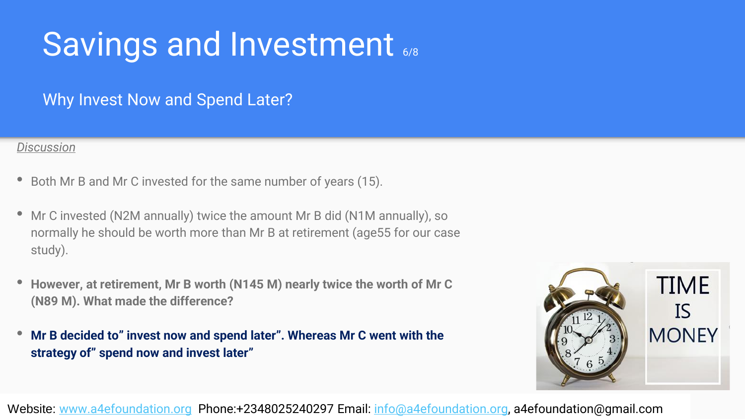### Savings and Investment 6/8

Why Invest Now and Spend Later?

#### *Discussion*

- Both Mr B and Mr C invested for the same number of years (15).
- Mr C invested (N2M annually) twice the amount Mr B did (N1M annually), so normally he should be worth more than Mr B at retirement (age55 for our case study).
- **However, at retirement, Mr B worth (N145 M) nearly twice the worth of Mr <sup>C</sup> (N89 M). What made the difference?**
- **Mr B decided to" invest now and spend later". Whereas Mr C went with the strategy of" spend now and invest later"**

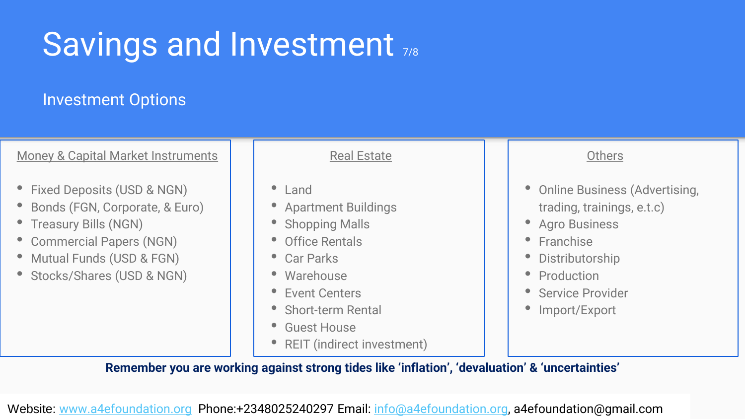# Savings and Investment 7/8

#### Investment Options

Money & Capital Market Instruments

- Fixed Deposits (USD & NGN)
- Bonds (FGN, Corporate, & Euro)
- Treasury Bills (NGN)
- Commercial Papers (NGN)
- Mutual Funds (USD & FGN)
- Stocks/Shares (USD & NGN)

Real Estate

- Land
- Apartment Buildings
- Shopping Malls
- Office Rentals
- Car Parks
- Warehouse
- Event Centers
- Short-term Rental
- Guest House
- REIT (indirect investment)

#### **Others**

- Online Business (Advertising, trading, trainings, e.t.c)
- Agro Business
- Franchise
- **Distributorship**
- Production
- Service Provider
- Import/Export

**Remember you are working against strong tides like 'inflation', 'devaluation' & 'uncertainties'**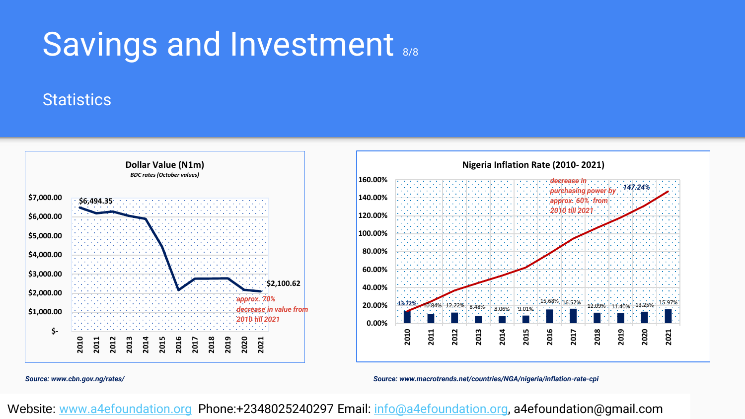### Savings and Investment 8/8

#### **Statistics**



*Source: www.cbn.gov.ng/rates/*

*Source: www.macrotrends.net/countries/NGA/nigeria/inflation-rate-cpi*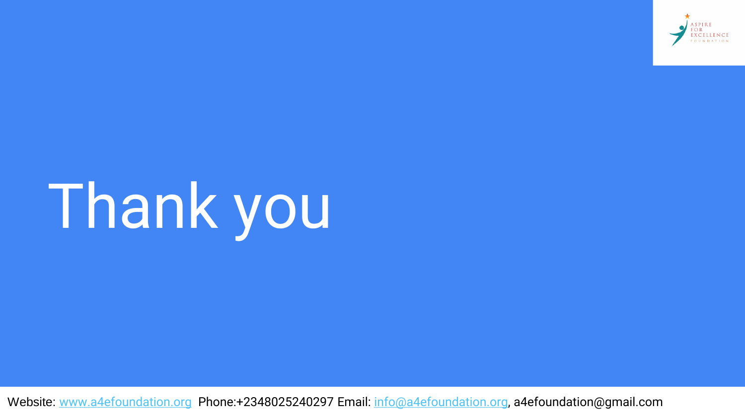

# Thank you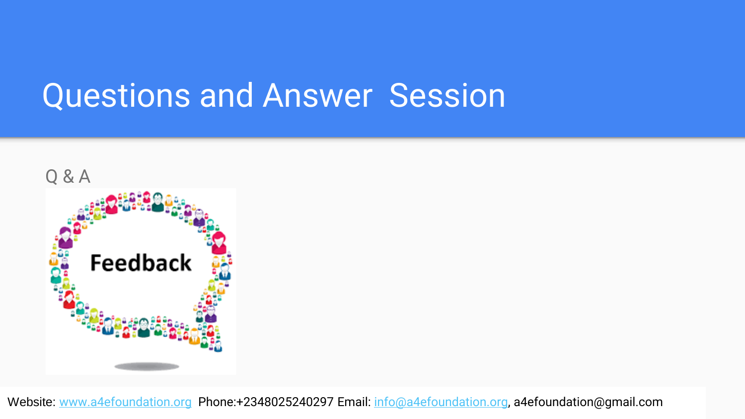### Questions and Answer Session